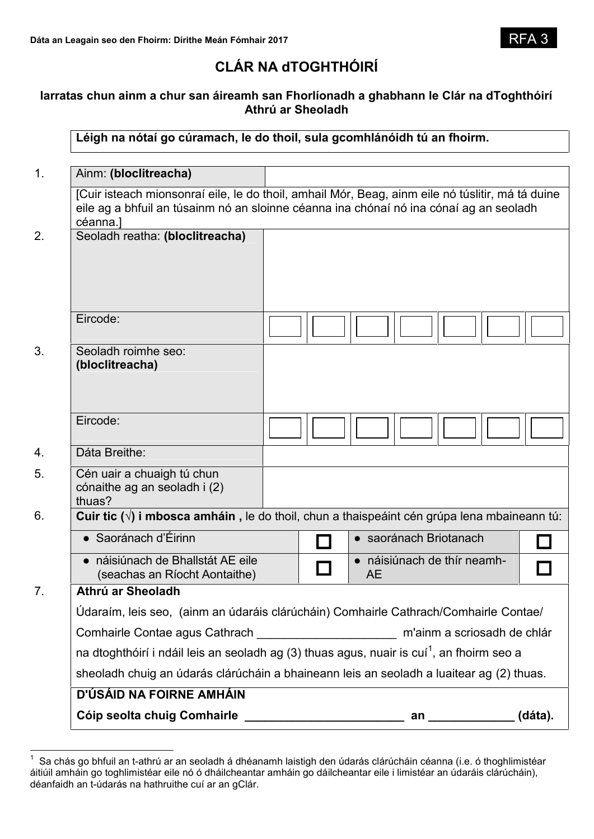# **CLÁR NA dTOGHTHÓIRÍ**

# **Iarratas chun ainm a chur san áireamh san Fhorlíonadh a ghabhann le Clár na dToghthóirí Athrú ar Sheoladh**

**Léigh na nótaí go cúramach, le do thoil, sula gcomhlánóidh tú an fhoirm.**

| D'ÚSÁID NA FOIRNE AMHÁIN                                                                                                                                                                               |  |                        |                           |  |  |
|--------------------------------------------------------------------------------------------------------------------------------------------------------------------------------------------------------|--|------------------------|---------------------------|--|--|
| sheoladh chuig an údarás clárúcháin a bhaineann leis an seoladh a luaitear ag (2) thuas.                                                                                                               |  |                        |                           |  |  |
| na dtoghthóirí i ndáil leis an seoladh ag (3) thuas agus, nuair is cuí <sup>1</sup> , an fhoirm seo a                                                                                                  |  |                        |                           |  |  |
|                                                                                                                                                                                                        |  |                        |                           |  |  |
| Údaraím, leis seo, (ainm an údaráis clárúcháin) Comhairle Cathrach/Comhairle Contae/                                                                                                                   |  |                        |                           |  |  |
| Athrú ar Sheoladh                                                                                                                                                                                      |  |                        |                           |  |  |
| • náisiúnach de Bhallstát AE eile<br>(seachas an Ríocht Aontaithe)                                                                                                                                     |  | <b>AE</b>              | náisiúnach de thír neamh- |  |  |
| · Saoránach d'Éirinn                                                                                                                                                                                   |  | • saoránach Briotanach |                           |  |  |
| Cuir tic $(\sqrt{ } )$ i mbosca amháin, le do thoil, chun a thaispeáint cén grúpa lena mbaineann tú:                                                                                                   |  |                        |                           |  |  |
| Cén uair a chuaigh tú chun<br>cónaithe ag an seoladh i (2)<br>thuas?                                                                                                                                   |  |                        |                           |  |  |
| Dáta Breithe:                                                                                                                                                                                          |  |                        |                           |  |  |
| Eircode:                                                                                                                                                                                               |  |                        |                           |  |  |
| Seoladh roimhe seo:<br>(bloclitreacha)                                                                                                                                                                 |  |                        |                           |  |  |
| Eircode:                                                                                                                                                                                               |  |                        |                           |  |  |
| Seoladh reatha: (bloclitreacha)                                                                                                                                                                        |  |                        |                           |  |  |
| [Cuir isteach mionsonraí eile, le do thoil, amhail Mór, Beag, ainm eile nó túslitir, má tá duine<br>eile ag a bhfuil an túsainm nó an sloinne céanna ina chónaí nó ina cónaí ag an seoladh<br>céanna.] |  |                        |                           |  |  |
|                                                                                                                                                                                                        |  |                        |                           |  |  |

 $1$  Sa chás go bhfuil an t-athrú ar an seoladh á dhéanamh laistigh den údarás clárúcháin céanna (i.e. ó thoghlimistéar áitiúil amháin go toghlimistéar eile nó ó dháilcheantar amháin go dáilcheantar eile i limistéar an údaráis clárúcháin), déanfaidh an t-údarás na hathruithe cuí ar an gClár.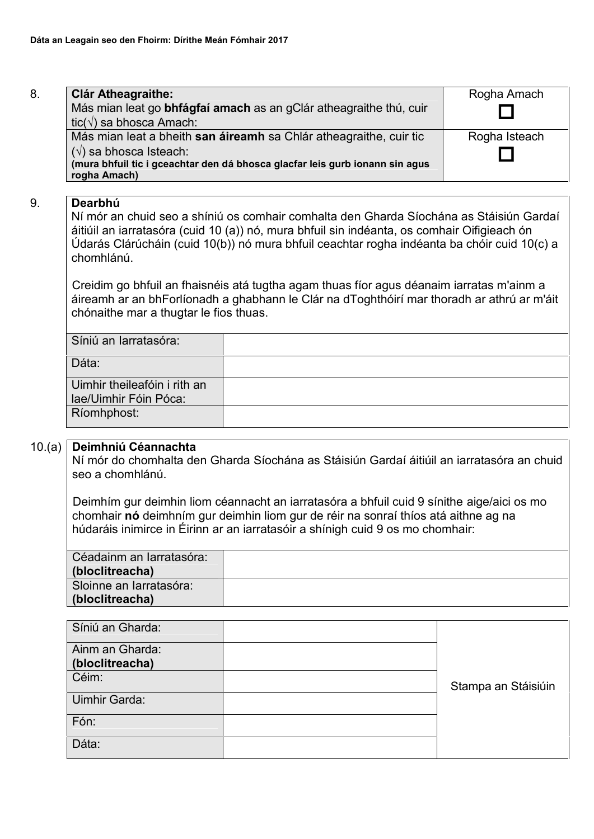| 8. | <b>Clár Atheagraithe:</b>                                                    | Rogha Amach   |
|----|------------------------------------------------------------------------------|---------------|
|    | Más mian leat go bhfágfaí amach as an gClár atheagraithe thú, cuir           |               |
|    | tic( $\sqrt{ }$ ) sa bhosca Amach:                                           |               |
|    | Más mian leat a bheith san áireamh sa Chlár atheagraithe, cuir tic           | Rogha Isteach |
|    | $(\sqrt{})$ sa bhosca Isteach:                                               |               |
|    | (mura bhfuil tic i gceachtar den dá bhosca glacfar leis gurb ionann sin agus |               |
|    | rogha Amach)                                                                 |               |

# 9. **Dearbhú**

Ní mór an chuid seo a shíniú os comhair comhalta den Gharda Síochána as Stáisiún Gardaí áitiúil an iarratasóra (cuid 10 (a)) nó, mura bhfuil sin indéanta, os comhair Oifigieach ón Údarás Clárúcháin (cuid 10(b)) nó mura bhfuil ceachtar rogha indéanta ba chóir cuid 10(c) a chomhlánú.

Creidim go bhfuil an fhaisnéis atá tugtha agam thuas fíor agus déanaim iarratas m'ainm a áireamh ar an bhForlíonadh a ghabhann le Clár na dToghthóirí mar thoradh ar athrú ar m'áit chónaithe mar a thugtar le fios thuas.

| Síniú an Iarratasóra:        |  |
|------------------------------|--|
| Dáta:                        |  |
| Uimhir theileafóin i rith an |  |
| lae/Uimhir Fóin Póca:        |  |
| Ríomhphost:                  |  |

### 10.(a) **Deimhniú Céannachta**

Ní mór do chomhalta den Gharda Síochána as Stáisiún Gardaí áitiúil an iarratasóra an chuid seo a chomhlánú.

Deimhím gur deimhin liom céannacht an iarratasóra a bhfuil cuid 9 sínithe aige/aici os mo chomhair **nó** deimhním gur deimhin liom gur de réir na sonraí thíos atá aithne ag na húdaráis inimirce in Éirinn ar an iarratasóir a shínigh cuid 9 os mo chomhair:

| Céadainm an Iarratasóra: |  |
|--------------------------|--|
| (bloclitreacha)          |  |
| Sloinne an Iarratasóra:  |  |
| (bloclitreacha)          |  |

| Síniú an Gharda:                   |                     |  |
|------------------------------------|---------------------|--|
| Ainm an Gharda:<br>(bloclitreacha) |                     |  |
|                                    |                     |  |
| Céim:                              | Stampa an Stáisiúin |  |
| Uimhir Garda:                      |                     |  |
| Fón:                               |                     |  |
| Dáta:                              |                     |  |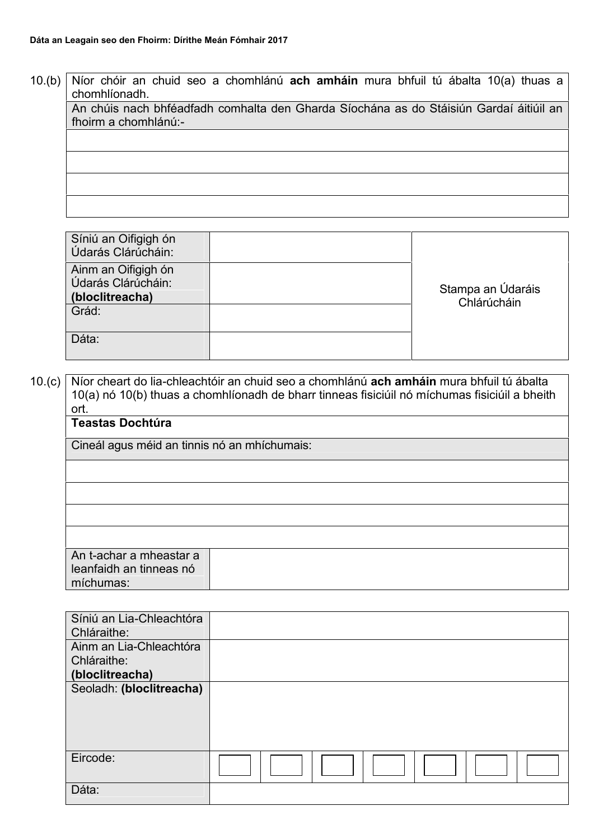10.(b) Níor chóir an chuid seo a chomhlánú **ach amháin** mura bhfuil tú ábalta 10(a) thuas a chomhlíonadh.

An chúis nach bhféadfadh comhalta den Gharda Síochána as do Stáisiún Gardaí áitiúil an fhoirm a chomhlánú:-

Síniú an Oifigigh ón Údarás Clárúcháin: Stampa an Údaráis Chlárúcháin Ainm an Oifigigh ón Údarás Clárúcháin: **(bloclitreacha)** Grád: Dáta:

10.(c) Níor cheart do lia-chleachtóir an chuid seo a chomhlánú **ach amháin** mura bhfuil tú ábalta 10(a) nó 10(b) thuas a chomhlíonadh de bharr tinneas fisiciúil nó míchumas fisiciúil a bheith ort.

| vı l.                                                                   |  |  |
|-------------------------------------------------------------------------|--|--|
| <b>Teastas Dochtúra</b><br>Cineál agus méid an tinnis nó an mhíchumais: |  |  |
|                                                                         |  |  |
|                                                                         |  |  |
|                                                                         |  |  |
|                                                                         |  |  |
|                                                                         |  |  |
| An t-achar a mheastar a<br>leanfaidh an tinneas nó<br>míchumas:         |  |  |

| Síniú an Lia-Chleachtóra<br>Chláraithe: |  |
|-----------------------------------------|--|
| Ainm an Lia-Chleachtóra                 |  |
| Chláraithe:                             |  |
| (bloclitreacha)                         |  |
| Seoladh: (bloclitreacha)                |  |
| Eircode:                                |  |
| Dáta:                                   |  |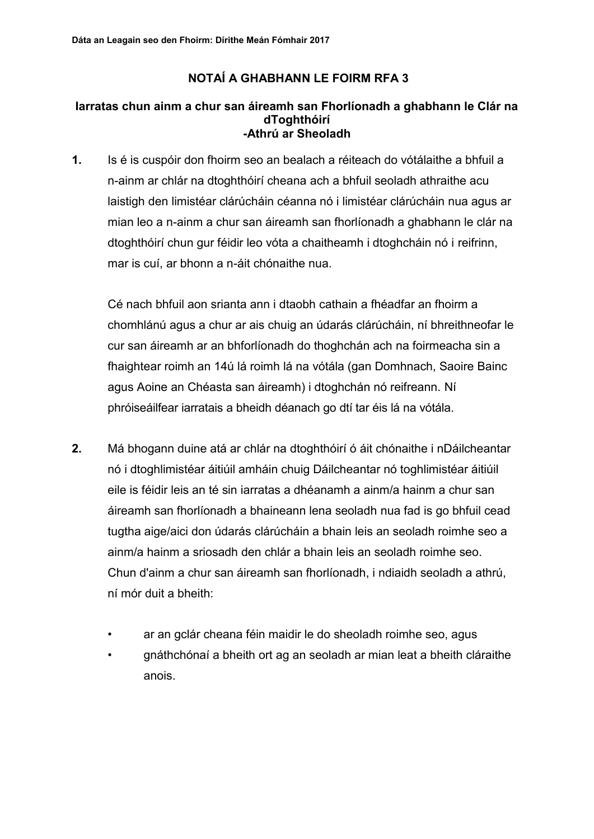# **NOTAÍ A GHABHANN LE FOIRM RFA 3**

#### **Iarratas chun ainm a chur san áireamh san Fhorlíonadh a ghabhann le Clár na dToghthóirí -Athrú ar Sheoladh**

**1.** Is é is cuspóir don fhoirm seo an bealach a réiteach do vótálaithe a bhfuil a n-ainm ar chlár na dtoghthóirí cheana ach a bhfuil seoladh athraithe acu laistigh den limistéar clárúcháin céanna nó i limistéar clárúcháin nua agus ar mian leo a n-ainm a chur san áireamh san fhorlíonadh a ghabhann le clár na dtoghthóirí chun gur féidir leo vóta a chaitheamh i dtoghcháin nó i reifrinn, mar is cuí, ar bhonn a n-áit chónaithe nua.

Cé nach bhfuil aon srianta ann i dtaobh cathain a fhéadfar an fhoirm a chomhlánú agus a chur ar ais chuig an údarás clárúcháin, ní bhreithneofar le cur san áireamh ar an bhforlíonadh do thoghchán ach na foirmeacha sin a fhaightear roimh an 14ú lá roimh lá na vótála (gan Domhnach, Saoire Bainc agus Aoine an Chéasta san áireamh) i dtoghchán nó reifreann. Ní phróiseáilfear iarratais a bheidh déanach go dtí tar éis lá na vótála.

- **2.** Má bhogann duine atá ar chlár na dtoghthóirí ó áit chónaithe i nDáilcheantar nó i dtoghlimistéar áitiúil amháin chuig Dáilcheantar nó toghlimistéar áitiúil eile is féidir leis an té sin iarratas a dhéanamh a ainm/a hainm a chur san áireamh san fhorlíonadh a bhaineann lena seoladh nua fad is go bhfuil cead tugtha aige/aici don údarás clárúcháin a bhain leis an seoladh roimhe seo a ainm/a hainm a sriosadh den chlár a bhain leis an seoladh roimhe seo. Chun d'ainm a chur san áireamh san fhorlíonadh, i ndiaidh seoladh a athrú, ní mór duit a bheith:
	- ar an gclár cheana féin maidir le do sheoladh roimhe seo, agus
	- gnáthchónaí a bheith ort ag an seoladh ar mian leat a bheith cláraithe anois.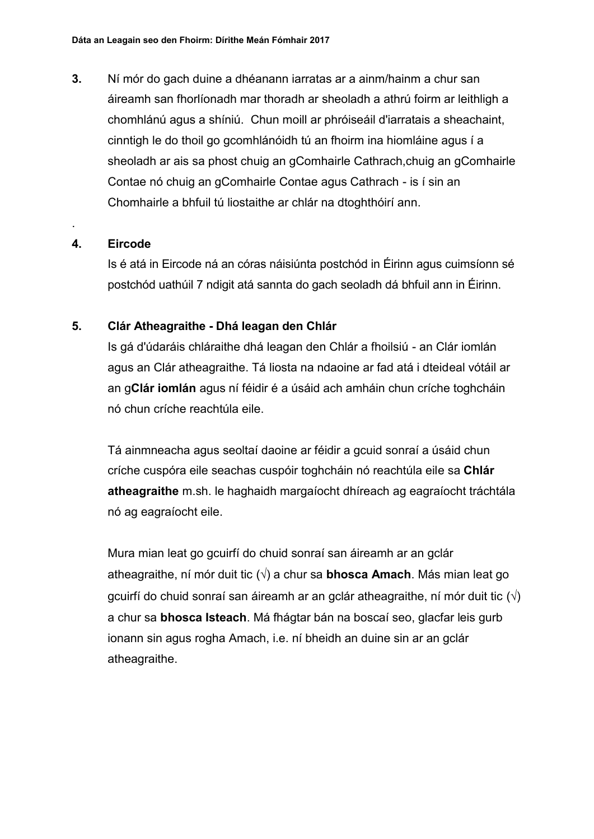**3.** Ní mór do gach duine a dhéanann iarratas ar a ainm/hainm a chur san áireamh san fhorlíonadh mar thoradh ar sheoladh a athrú foirm ar leithligh a chomhlánú agus a shíniú. Chun moill ar phróiseáil d'iarratais a sheachaint, cinntigh le do thoil go gcomhlánóidh tú an fhoirm ina hiomláine agus í a sheoladh ar ais sa phost chuig an gComhairle Cathrach,chuig an gComhairle Contae nó chuig an gComhairle Contae agus Cathrach - is í sin an Chomhairle a bhfuil tú liostaithe ar chlár na dtoghthóirí ann.

# **4. Eircode**

.

Is é atá in Eircode ná an córas náisiúnta postchód in Éirinn agus cuimsíonn sé postchód uathúil 7 ndigit atá sannta do gach seoladh dá bhfuil ann in Éirinn.

# **5. Clár Atheagraithe - Dhá leagan den Chlár**

Is gá d'údaráis chláraithe dhá leagan den Chlár a fhoilsiú - an Clár iomlán agus an Clár atheagraithe. Tá liosta na ndaoine ar fad atá i dteideal vótáil ar an g**Clár iomlán** agus ní féidir é a úsáid ach amháin chun críche toghcháin nó chun críche reachtúla eile.

Tá ainmneacha agus seoltaí daoine ar féidir a gcuid sonraí a úsáid chun críche cuspóra eile seachas cuspóir toghcháin nó reachtúla eile sa **Chlár atheagraithe** m.sh. le haghaidh margaíocht dhíreach ag eagraíocht tráchtála nó ag eagraíocht eile.

Mura mian leat go gcuirfí do chuid sonraí san áireamh ar an gclár atheagraithe, ní mór duit tic ( $\sqrt{ }$ ) a chur sa **bhosca Amach**. Más mian leat go gcuirfí do chuid sonraí san áireamh ar an gclár atheagraithe, ní mór duit tic  $(\sqrt)$ a chur sa **bhosca Isteach**. Má fhágtar bán na boscaí seo, glacfar leis gurb ionann sin agus rogha Amach, i.e. ní bheidh an duine sin ar an gclár atheagraithe.